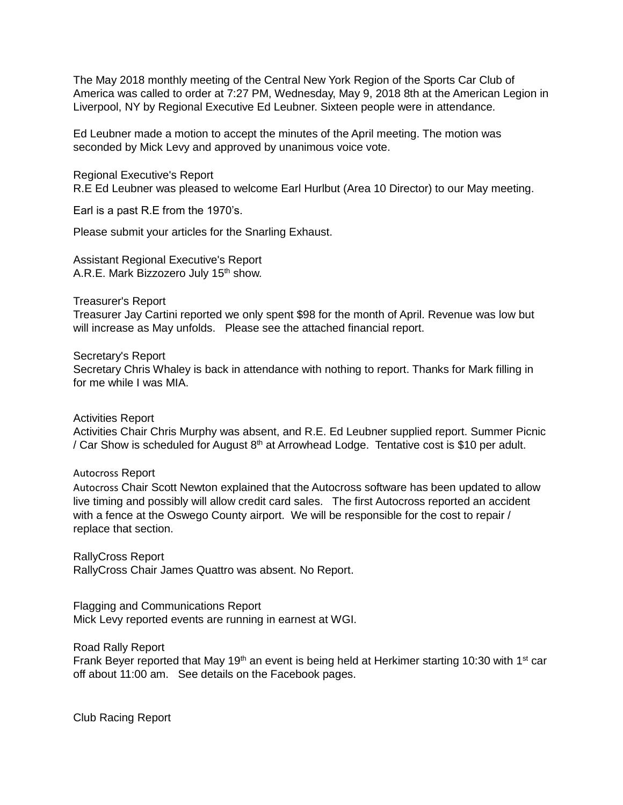The May 2018 monthly meeting of the Central New York Region of the Sports Car Club of America was called to order at 7:27 PM, Wednesday, May 9, 2018 8th at the American Legion in Liverpool, NY by Regional Executive Ed Leubner. Sixteen people were in attendance.

Ed Leubner made a motion to accept the minutes of the April meeting. The motion was seconded by Mick Levy and approved by unanimous voice vote.

Regional Executive's Report R.E Ed Leubner was pleased to welcome Earl Hurlbut (Area 10 Director) to our May meeting.

Earl is a past R.E from the 1970's.

Please submit your articles for the Snarling Exhaust.

Assistant Regional Executive's Report A.R.E. Mark Bizzozero July 15<sup>th</sup> show.

Treasurer's Report

Treasurer Jay Cartini reported we only spent \$98 for the month of April. Revenue was low but will increase as May unfolds. Please see the attached financial report.

Secretary's Report Secretary Chris Whaley is back in attendance with nothing to report. Thanks for Mark filling in for me while I was MIA.

Activities Report

Activities Chair Chris Murphy was absent, and R.E. Ed Leubner supplied report. Summer Picnic / Car Show is scheduled for August  $8<sup>th</sup>$  at Arrowhead Lodge. Tentative cost is \$10 per adult.

Autocross Report

Autocross Chair Scott Newton explained that the Autocross software has been updated to allow live timing and possibly will allow credit card sales. The first Autocross reported an accident with a fence at the Oswego County airport. We will be responsible for the cost to repair / replace that section.

RallyCross Report RallyCross Chair James Quattro was absent. No Report.

Flagging and Communications Report Mick Levy reported events are running in earnest at WGI.

Road Rally Report

Frank Beyer reported that May 19<sup>th</sup> an event is being held at Herkimer starting 10:30 with 1<sup>st</sup> car off about 11:00 am. See details on the Facebook pages.

Club Racing Report